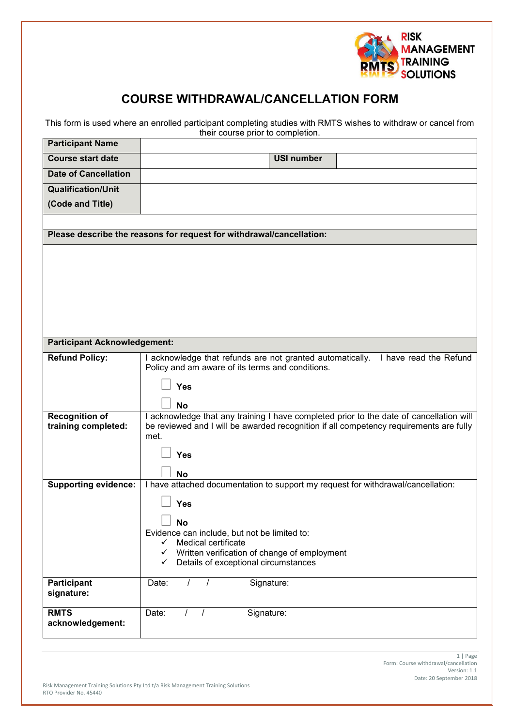

## **COURSE WITHDRAWAL/CANCELLATION FORM**

This form is used where an enrolled participant completing studies with RMTS wishes to withdraw or cancel from their course prior to completion.

| <b>Participant Name</b>                                              |                                                                                                                                                                                   |
|----------------------------------------------------------------------|-----------------------------------------------------------------------------------------------------------------------------------------------------------------------------------|
| <b>Course start date</b>                                             | <b>USI number</b>                                                                                                                                                                 |
| <b>Date of Cancellation</b>                                          |                                                                                                                                                                                   |
| <b>Qualification/Unit</b>                                            |                                                                                                                                                                                   |
| (Code and Title)                                                     |                                                                                                                                                                                   |
|                                                                      |                                                                                                                                                                                   |
| Please describe the reasons for request for withdrawal/cancellation: |                                                                                                                                                                                   |
|                                                                      |                                                                                                                                                                                   |
|                                                                      |                                                                                                                                                                                   |
|                                                                      |                                                                                                                                                                                   |
|                                                                      |                                                                                                                                                                                   |
|                                                                      |                                                                                                                                                                                   |
|                                                                      |                                                                                                                                                                                   |
|                                                                      |                                                                                                                                                                                   |
| <b>Participant Acknowledgement:</b>                                  |                                                                                                                                                                                   |
| <b>Refund Policy:</b>                                                | I acknowledge that refunds are not granted automatically.<br>I have read the Refund<br>Policy and am aware of its terms and conditions.                                           |
|                                                                      | Yes                                                                                                                                                                               |
|                                                                      |                                                                                                                                                                                   |
|                                                                      | <b>No</b>                                                                                                                                                                         |
| <b>Recognition of</b><br>training completed:                         | I acknowledge that any training I have completed prior to the date of cancellation will<br>be reviewed and I will be awarded recognition if all competency requirements are fully |
|                                                                      | met.                                                                                                                                                                              |
|                                                                      | Yes                                                                                                                                                                               |
|                                                                      |                                                                                                                                                                                   |
| <b>Supporting evidence:</b>                                          | <b>No</b><br>I have attached documentation to support my request for withdrawal/cancellation:                                                                                     |
|                                                                      |                                                                                                                                                                                   |
|                                                                      | <b>Yes</b>                                                                                                                                                                        |
|                                                                      | No                                                                                                                                                                                |
|                                                                      | Evidence can include, but not be limited to:<br>$\checkmark$                                                                                                                      |
|                                                                      | Medical certificate<br>Written verification of change of employment<br>$\checkmark$                                                                                               |
|                                                                      | Details of exceptional circumstances<br>$\checkmark$                                                                                                                              |
| Participant                                                          | Signature:<br>Date:<br>$\prime$                                                                                                                                                   |
| signature:                                                           |                                                                                                                                                                                   |
| <b>RMTS</b>                                                          | Signature:<br>Date:<br>$\prime$<br>$\prime$                                                                                                                                       |
| acknowledgement:                                                     |                                                                                                                                                                                   |
|                                                                      |                                                                                                                                                                                   |